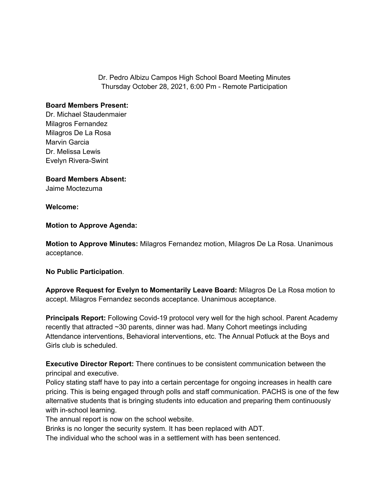Dr. Pedro Albizu Campos High School Board Meeting Minutes Thursday October 28, 2021, 6:00 Pm - Remote Participation

## **Board Members Present:**

Dr. Michael Staudenmaier Milagros Fernandez Milagros De La Rosa Marvin Garcia Dr. Melissa Lewis Evelyn Rivera-Swint

**Board Members Absent:** Jaime Moctezuma

## **Welcome:**

**Motion to Approve Agenda:**

**Motion to Approve Minutes:** Milagros Fernandez motion, Milagros De La Rosa. Unanimous acceptance.

## **No Public Participation**.

**Approve Request for Evelyn to Momentarily Leave Board:** Milagros De La Rosa motion to accept. Milagros Fernandez seconds acceptance. Unanimous acceptance.

**Principals Report:** Following Covid-19 protocol very well for the high school. Parent Academy recently that attracted ~30 parents, dinner was had. Many Cohort meetings including Attendance interventions, Behavioral interventions, etc. The Annual Potluck at the Boys and Girls club is scheduled.

**Executive Director Report:** There continues to be consistent communication between the principal and executive.

Policy stating staff have to pay into a certain percentage for ongoing increases in health care pricing. This is being engaged through polls and staff communication. PACHS is one of the few alternative students that is bringing students into education and preparing them continuously with in-school learning.

The annual report is now on the school website.

Brinks is no longer the security system. It has been replaced with ADT.

The individual who the school was in a settlement with has been sentenced.